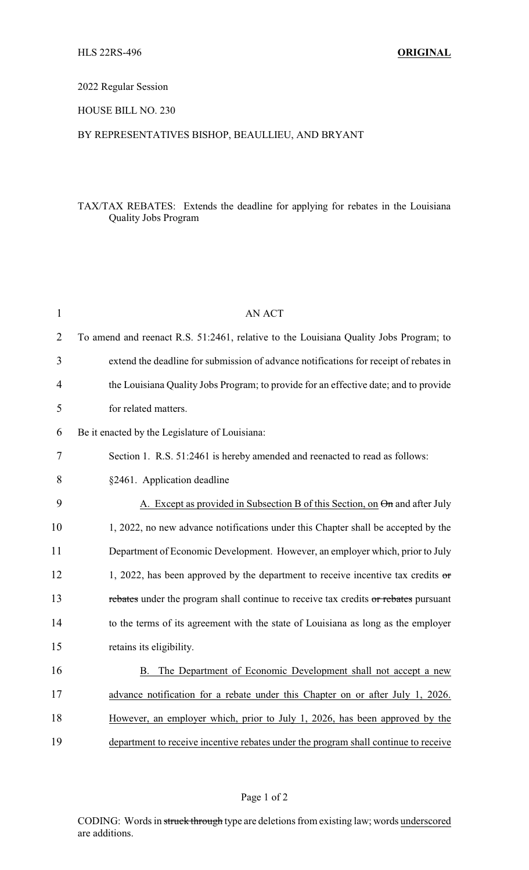# 2022 Regular Session

#### HOUSE BILL NO. 230

# BY REPRESENTATIVES BISHOP, BEAULLIEU, AND BRYANT

# TAX/TAX REBATES: Extends the deadline for applying for rebates in the Louisiana Quality Jobs Program

| $\mathbf{1}$   | <b>AN ACT</b>                                                                          |
|----------------|----------------------------------------------------------------------------------------|
| $\overline{2}$ | To amend and reenact R.S. 51:2461, relative to the Louisiana Quality Jobs Program; to  |
| 3              | extend the deadline for submission of advance notifications for receipt of rebates in  |
| 4              | the Louisiana Quality Jobs Program; to provide for an effective date; and to provide   |
| 5              | for related matters.                                                                   |
| 6              | Be it enacted by the Legislature of Louisiana:                                         |
| 7              | Section 1. R.S. 51:2461 is hereby amended and reenacted to read as follows:            |
| 8              | §2461. Application deadline                                                            |
| 9              | A. Except as provided in Subsection B of this Section, on On and after July            |
| 10             | 1, 2022, no new advance notifications under this Chapter shall be accepted by the      |
| 11             | Department of Economic Development. However, an employer which, prior to July          |
| 12             | 1, 2022, has been approved by the department to receive incentive tax credits $\sigma$ |
| 13             | rebates under the program shall continue to receive tax credits or rebates pursuant    |
| 14             | to the terms of its agreement with the state of Louisiana as long as the employer      |
| 15             | retains its eligibility.                                                               |
| 16             | The Department of Economic Development shall not accept a new<br>В.                    |
| 17             | advance notification for a rebate under this Chapter on or after July 1, 2026.         |
| 18             | However, an employer which, prior to July 1, 2026, has been approved by the            |
| 19             | department to receive incentive rebates under the program shall continue to receive    |

# Page 1 of 2

CODING: Words in struck through type are deletions from existing law; words underscored are additions.